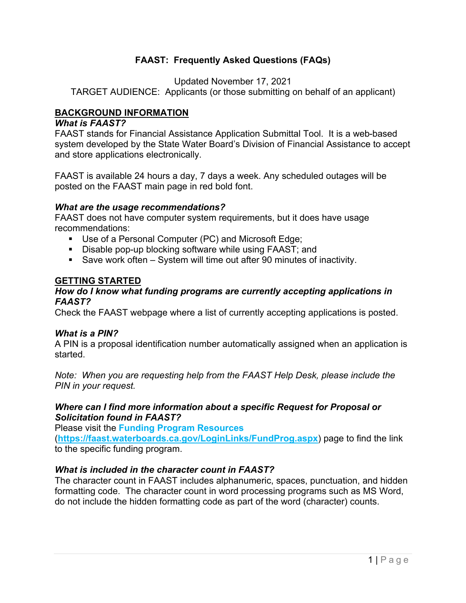# **FAAST: Frequently Asked Questions (FAQs)**

Updated November 17, 2021

TARGET AUDIENCE: Applicants (or those submitting on behalf of an applicant)

# **BACKGROUND INFORMATION**

### *What is FAAST?*

FAAST stands for Financial Assistance Application Submittal Tool. It is a web-based system developed by the State Water Board's Division of Financial Assistance to accept and store applications electronically.

FAAST is available 24 hours a day, 7 days a week. Any scheduled outages will be posted on the FAAST main page in red bold font.

#### *What are the usage recommendations?*

FAAST does not have computer system requirements, but it does have usage recommendations:

- Use of a Personal Computer (PC) and Microsoft Edge;
- Disable pop-up blocking software while using FAAST; and
- Save work often System will time out after 90 minutes of inactivity.

## **GETTING STARTED**

#### *How do I know what funding programs are currently accepting applications in FAAST?*

Check the FAAST webpage where a list of currently accepting applications is posted.

#### *What is a PIN?*

A PIN is a proposal identification number automatically assigned when an application is started.

*Note: When you are requesting help from the FAAST Help Desk, please include the PIN in your request.*

## *Where can I find more information about a specific Request for Proposal or Solicitation found in FAAST?*

Please visit the **[Funding Program Resources](https://faast.waterboards.ca.gov/LoginLinks/FundProg.aspx)**

(**<https://faast.waterboards.ca.gov/LoginLinks/FundProg.aspx>**) page to find the link to the specific funding program.

### *What is included in the character count in FAAST?*

The character count in FAAST includes alphanumeric, spaces, punctuation, and hidden formatting code. The character count in word processing programs such as MS Word, do not include the hidden formatting code as part of the word (character) counts.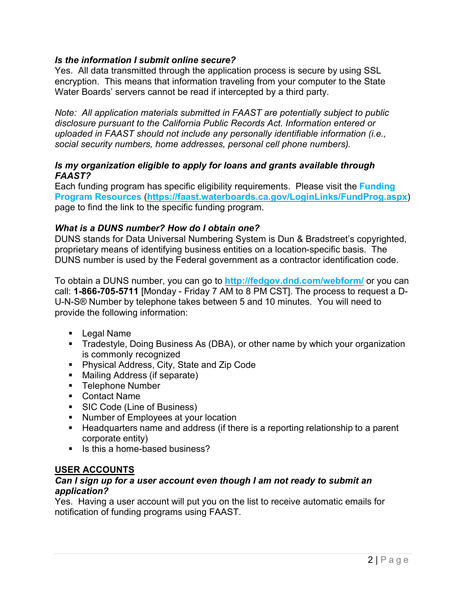# *Is the information I submit online secure?*

Yes. All data transmitted through the application process is secure by using SSL encryption. This means that information traveling from your computer to the State Water Boards' servers cannot be read if intercepted by a third party.

*Note: All application materials submitted in FAAST are potentially subject to public disclosure pursuant to the California Public Records Act. Information entered or uploaded in FAAST should not include any personally identifiable information (i.e., social security numbers, home addresses, personal cell phone numbers).*

#### *Is my organization eligible to apply for loans and grants available through FAAST?*

Each funding program has specific eligibility requirements. Please visit the **[Funding](https://faast.waterboards.ca.gov/LoginLinks/FundProg.aspx)  [Program Resources](https://faast.waterboards.ca.gov/LoginLinks/FundProg.aspx)** (**<https://faast.waterboards.ca.gov/LoginLinks/FundProg.aspx>**) page to find the link to the specific funding program.

## *What is a DUNS number? How do I obtain one?*

DUNS stands for Data Universal Numbering System is Dun & Bradstreet's copyrighted, proprietary means of identifying business entities on a location-specific basis. The DUNS number is used by the Federal government as a contractor identification code.

To obtain a DUNS number, you can go to **<http://fedgov.dnd.com/webform/>** or you can call: **1-866-705-5711** [Monday - Friday 7 AM to 8 PM CST]. The process to request a D-U-N-S® Number by telephone takes between 5 and 10 minutes. You will need to provide the following information:

- § Legal Name
- Tradestyle, Doing Business As (DBA), or other name by which your organization is commonly recognized
- Physical Address, City, State and Zip Code
- Mailing Address (if separate)
- Telephone Number
- Contact Name
- SIC Code (Line of Business)
- Number of Employees at your location
- Headquarters name and address (if there is a reporting relationship to a parent corporate entity)
- Is this a home-based business?

#### **USER ACCOUNTS**

#### *Can I sign up for a user account even though I am not ready to submit an application?*

Yes. Having a user account will put you on the list to receive automatic emails for notification of funding programs using FAAST.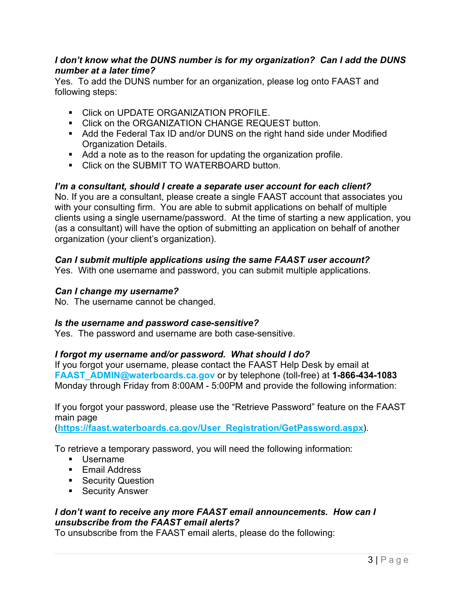## *I don't know what the DUNS number is for my organization? Can I add the DUNS number at a later time?*

Yes. To add the DUNS number for an organization, please log onto FAAST and following steps:

- Click on UPDATE ORGANIZATION PROFILE.
- Click on the ORGANIZATION CHANGE REQUEST button.
- Add the Federal Tax ID and/or DUNS on the right hand side under Modified Organization Details.
- Add a note as to the reason for updating the organization profile.
- Click on the SUBMIT TO WATERBOARD button.

## *I'm a consultant, should I create a separate user account for each client?*

No. If you are a consultant, please create a single FAAST account that associates you with your consulting firm. You are able to submit applications on behalf of multiple clients using a single username/password. At the time of starting a new application, you (as a consultant) will have the option of submitting an application on behalf of another organization (your client's organization).

## *Can I submit multiple applications using the same FAAST user account?*

Yes. With one username and password, you can submit multiple applications.

#### *Can I change my username?*

No. The username cannot be changed.

#### *Is the username and password case-sensitive?*

Yes. The password and username are both case-sensitive.

#### *I forgot my username and/or password. What should I do?*

If you forgot your username, please contact the FAAST Help Desk by email at **[FAAST\\_ADMIN@waterboards.ca.gov](mailto:FAAST_ADMIN@waterboards.ca.gov)** or by telephone (toll-free) at **1-866-434-1083** Monday through Friday from 8:00AM - 5:00PM and provide the following information:

If you forgot your password, please use the "Retrieve Password" feature on the FAAST main page

(**[https://faast.waterboards.ca.gov/User\\_Registration/GetPassword.aspx](https://faast.waterboards.ca.gov/User_Registration/GetPassword.aspx)**).

To retrieve a temporary password, you will need the following information:

- Username
- Email Address
- Security Question
- Security Answer

# *I don't want to receive any more FAAST email announcements. How can I unsubscribe from the FAAST email alerts?*

To unsubscribe from the FAAST email alerts, please do the following: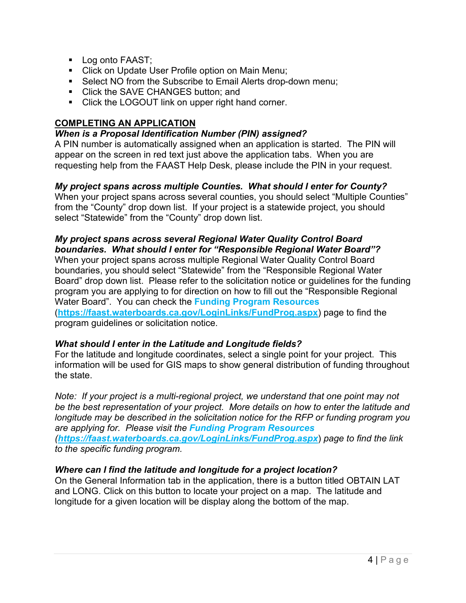- Log onto FAAST;
- Click on Update User Profile option on Main Menu;
- Select NO from the Subscribe to Email Alerts drop-down menu;
- Click the SAVE CHANGES button; and
- Click the LOGOUT link on upper right hand corner.

# **COMPLETING AN APPLICATION**

#### *When is a Proposal Identification Number (PIN) assigned?*

A PIN number is automatically assigned when an application is started. The PIN will appear on the screen in red text just above the application tabs. When you are requesting help from the FAAST Help Desk, please include the PIN in your request.

# *My project spans across multiple Counties. What should I enter for County?*

When your project spans across several counties, you should select "Multiple Counties" from the "County" drop down list. If your project is a statewide project, you should select "Statewide" from the "County" drop down list.

# *My project spans across several Regional Water Quality Control Board boundaries. What should I enter for "Responsible Regional Water Board"?*

When your project spans across multiple Regional Water Quality Control Board boundaries, you should select "Statewide" from the "Responsible Regional Water Board" drop down list. Please refer to the solicitation notice or guidelines for the funding program you are applying to for direction on how to fill out the "Responsible Regional Water Board". You can check the **[Funding Program Resources](https://faast.waterboards.ca.gov/LoginLinks/FundProg.aspx)** (**<https://faast.waterboards.ca.gov/LoginLinks/FundProg.aspx>**) page to find the

program guidelines or solicitation notice.

# *What should I enter in the Latitude and Longitude fields?*

For the latitude and longitude coordinates, select a single point for your project. This information will be used for GIS maps to show general distribution of funding throughout the state.

*Note: If your project is a multi-regional project, we understand that one point may not be the best representation of your project. More details on how to enter the latitude and longitude may be described in the solicitation notice for the RFP or funding program you are applying for. Please visit the [Funding Program Resources](https://faast.waterboards.ca.gov/LoginLinks/FundProg.aspx) (<https://faast.waterboards.ca.gov/LoginLinks/FundProg.aspx>*) *page to find the link to the specific funding program.*

# *Where can I find the latitude and longitude for a project location?*

On the General Information tab in the application, there is a button titled OBTAIN LAT and LONG. Click on this button to locate your project on a map. The latitude and longitude for a given location will be display along the bottom of the map.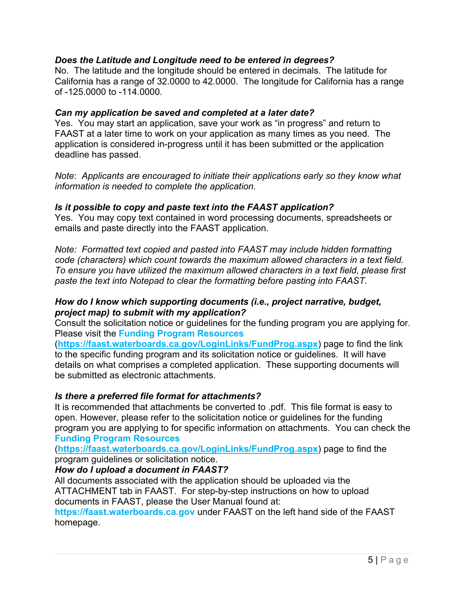## *Does the Latitude and Longitude need to be entered in degrees?*

No. The latitude and the longitude should be entered in decimals. The latitude for California has a range of 32.0000 to 42.0000. The longitude for California has a range of -125.0000 to -114.0000.

## *Can my application be saved and completed at a later date?*

Yes. You may start an application, save your work as "in progress" and return to FAAST at a later time to work on your application as many times as you need. The application is considered in-progress until it has been submitted or the application deadline has passed.

*Note*: *Applicants are encouraged to initiate their applications early so they know what information is needed to complete the application.*

## *Is it possible to copy and paste text into the FAAST application?*

Yes. You may copy text contained in word processing documents, spreadsheets or emails and paste directly into the FAAST application.

*Note: Formatted text copied and pasted into FAAST may include hidden formatting code (characters) which count towards the maximum allowed characters in a text field. To ensure you have utilized the maximum allowed characters in a text field, please first paste the text into Notepad to clear the formatting before pasting into FAAST.*

#### *How do I know which supporting documents (i.e., project narrative, budget, project map) to submit with my application?*

Consult the solicitation notice or guidelines for the funding program you are applying for. Please visit the **[Funding Program Resources](https://faast.waterboards.ca.gov/LoginLinks/FundProg.aspx)**

(**<https://faast.waterboards.ca.gov/LoginLinks/FundProg.aspx>**) page to find the link to the specific funding program and its solicitation notice or guidelines. It will have details on what comprises a completed application. These supporting documents will be submitted as electronic attachments.

# *Is there a preferred file format for attachments?*

It is recommended that attachments be converted to .pdf. This file format is easy to open. However, please refer to the solicitation notice or guidelines for the funding program you are applying to for specific information on attachments. You can check the **[Funding Program Resources](https://faast.waterboards.ca.gov/LoginLinks/FundProg.aspx)**

(**<https://faast.waterboards.ca.gov/LoginLinks/FundProg.aspx>**) page to find the program guidelines or solicitation notice.

# *How do I upload a document in FAAST?*

All documents associated with the application should be uploaded via the ATTACHMENT tab in FAAST. For step-by-step instructions on how to upload documents in FAAST, please the User Manual found at:

**[https://faast.waterboards.ca.gov](https://faast.waterboards.ca.gov/)** under FAAST on the left hand side of the FAAST homepage.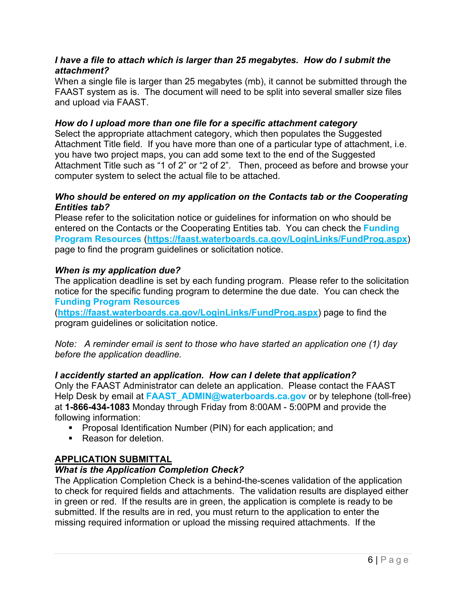### *I have a file to attach which is larger than 25 megabytes. How do I submit the attachment?*

When a single file is larger than 25 megabytes (mb), it cannot be submitted through the FAAST system as is. The document will need to be split into several smaller size files and upload via FAAST.

## *How do I upload more than one file for a specific attachment category*

Select the appropriate attachment category, which then populates the Suggested Attachment Title field. If you have more than one of a particular type of attachment, i.e. you have two project maps, you can add some text to the end of the Suggested Attachment Title such as "1 of 2" or "2 of 2". Then, proceed as before and browse your computer system to select the actual file to be attached.

## *Who should be entered on my application on the Contacts tab or the Cooperating Entities tab?*

Please refer to the solicitation notice or guidelines for information on who should be entered on the Contacts or the Cooperating Entities tab. You can check the **[Funding](https://faast.waterboards.ca.gov/LoginLinks/FundProg.aspx)  [Program Resources](https://faast.waterboards.ca.gov/LoginLinks/FundProg.aspx)** (**<https://faast.waterboards.ca.gov/LoginLinks/FundProg.aspx>**) page to find the program guidelines or solicitation notice.

## *When is my application due?*

The application deadline is set by each funding program. Please refer to the solicitation notice for the specific funding program to determine the due date. You can check the **[Funding Program Resources](https://faast.waterboards.ca.gov/LoginLinks/FundProg.aspx)**

(**<https://faast.waterboards.ca.gov/LoginLinks/FundProg.aspx>**) page to find the program guidelines or solicitation notice.

*Note: A reminder email is sent to those who have started an application one (1) day before the application deadline.*

# *I accidently started an application. How can I delete that application?*

Only the FAAST Administrator can delete an application. Please contact the FAAST Help Desk by email at **FAAST** ADMIN@waterboards.ca.gov or by telephone (toll-free) at **1-866-434-1083** Monday through Friday from 8:00AM - 5:00PM and provide the following information:

- Proposal Identification Number (PIN) for each application; and
- Reason for deletion

# **APPLICATION SUBMITTAL**

# *What is the Application Completion Check?*

The Application Completion Check is a behind-the-scenes validation of the application to check for required fields and attachments. The validation results are displayed either in green or red. If the results are in green, the application is complete is ready to be submitted. If the results are in red, you must return to the application to enter the missing required information or upload the missing required attachments. If the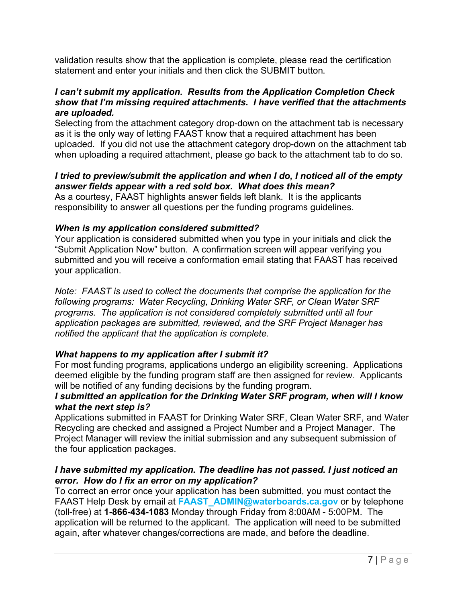validation results show that the application is complete, please read the certification statement and enter your initials and then click the SUBMIT button.

## *I can't submit my application. Results from the Application Completion Check show that I'm missing required attachments. I have verified that the attachments are uploaded.*

Selecting from the attachment category drop-down on the attachment tab is necessary as it is the only way of letting FAAST know that a required attachment has been uploaded. If you did not use the attachment category drop-down on the attachment tab when uploading a required attachment, please go back to the attachment tab to do so.

# *I tried to preview/submit the application and when I do, I noticed all of the empty answer fields appear with a red sold box. What does this mean?*

As a courtesy, FAAST highlights answer fields left blank. It is the applicants responsibility to answer all questions per the funding programs guidelines.

# *When is my application considered submitted?*

Your application is considered submitted when you type in your initials and click the "Submit Application Now" button. A confirmation screen will appear verifying you submitted and you will receive a conformation email stating that FAAST has received your application.

*Note: FAAST is used to collect the documents that comprise the application for the following programs: Water Recycling, Drinking Water SRF, or Clean Water SRF programs. The application is not considered completely submitted until all four application packages are submitted, reviewed, and the SRF Project Manager has notified the applicant that the application is complete.* 

# *What happens to my application after I submit it?*

For most funding programs, applications undergo an eligibility screening. Applications deemed eligible by the funding program staff are then assigned for review. Applicants will be notified of any funding decisions by the funding program.

## *I submitted an application for the Drinking Water SRF program, when will I know what the next step is?*

Applications submitted in FAAST for Drinking Water SRF, Clean Water SRF, and Water Recycling are checked and assigned a Project Number and a Project Manager. The Project Manager will review the initial submission and any subsequent submission of the four application packages.

# *I have submitted my application. The deadline has not passed. I just noticed an error. How do I fix an error on my application?*

To correct an error once your application has been submitted, you must contact the FAAST Help Desk by email at **[FAAST\\_ADMIN@waterboards.ca.gov](mailto:FAAST_ADMIN@waterboards.ca.gov)** or by telephone (toll-free) at **1-866-434-1083** Monday through Friday from 8:00AM - 5:00PM. The application will be returned to the applicant. The application will need to be submitted again, after whatever changes/corrections are made, and before the deadline.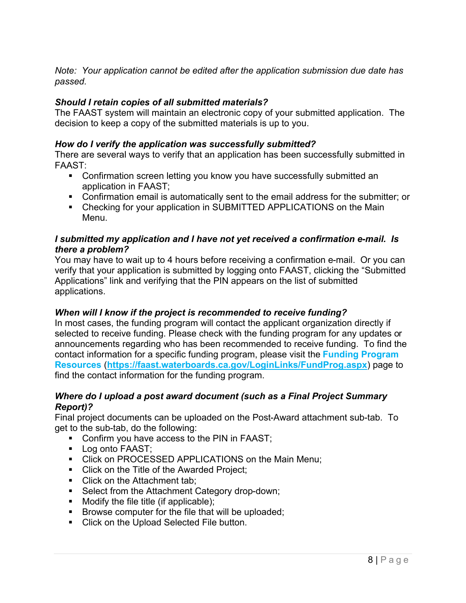*Note: Your application cannot be edited after the application submission due date has passed.*

# *Should I retain copies of all submitted materials?*

The FAAST system will maintain an electronic copy of your submitted application. The decision to keep a copy of the submitted materials is up to you.

# *How do I verify the application was successfully submitted?*

There are several ways to verify that an application has been successfully submitted in FAAST:

- Confirmation screen letting you know you have successfully submitted an application in FAAST;
- Confirmation email is automatically sent to the email address for the submitter; or
- Checking for your application in SUBMITTED APPLICATIONS on the Main Menu.

### *I submitted my application and I have not yet received a confirmation e-mail. Is there a problem?*

You may have to wait up to 4 hours before receiving a confirmation e-mail. Or you can verify that your application is submitted by logging onto FAAST, clicking the "Submitted Applications" link and verifying that the PIN appears on the list of submitted applications.

#### *When will I know if the project is recommended to receive funding?*

In most cases, the funding program will contact the applicant organization directly if selected to receive funding. Please check with the funding program for any updates or announcements regarding who has been recommended to receive funding. To find the contact information for a specific funding program, please visit the **[Funding Program](https://faast.waterboards.ca.gov/LoginLinks/FundProg.aspx)  [Resources](https://faast.waterboards.ca.gov/LoginLinks/FundProg.aspx)** (**<https://faast.waterboards.ca.gov/LoginLinks/FundProg.aspx>**) page to find the contact information for the funding program.

#### *Where do I upload a post award document (such as a Final Project Summary Report)?*

Final project documents can be uploaded on the Post-Award attachment sub-tab. To get to the sub-tab, do the following:

- Confirm you have access to the PIN in FAAST;
- Log onto FAAST:
- Click on PROCESSED APPLICATIONS on the Main Menu;
- Click on the Title of the Awarded Project;
- Click on the Attachment tab;
- Select from the Attachment Category drop-down;
- $\blacksquare$  Modify the file title (if applicable);
- Browse computer for the file that will be uploaded;
- Click on the Upload Selected File button.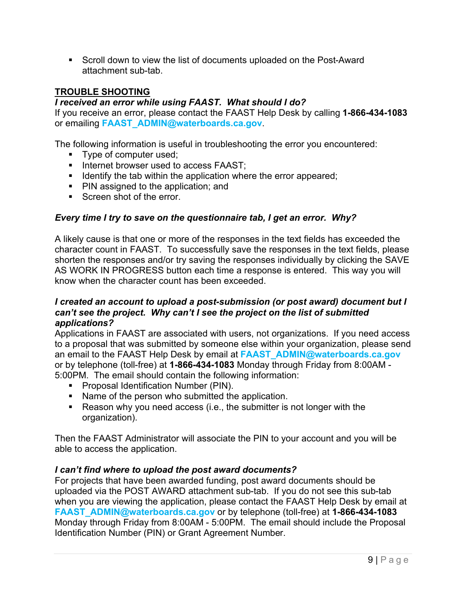■ Scroll down to view the list of documents uploaded on the Post-Award attachment sub-tab.

## **TROUBLE SHOOTING**

### *I received an error while using FAAST. What should I do?*

If you receive an error, please contact the FAAST Help Desk by calling **1-866-434-1083** or emailing **[FAAST\\_ADMIN@waterboards.ca.gov](mailto:FAAST_ADMIN@waterboards.ca.gov)**.

The following information is useful in troubleshooting the error you encountered:

- Type of computer used;
- Internet browser used to access FAAST;
- Identify the tab within the application where the error appeared;
- PIN assigned to the application; and
- Screen shot of the error.

## *Every time I try to save on the questionnaire tab, I get an error. Why?*

A likely cause is that one or more of the responses in the text fields has exceeded the character count in FAAST. To successfully save the responses in the text fields, please shorten the responses and/or try saving the responses individually by clicking the SAVE AS WORK IN PROGRESS button each time a response is entered. This way you will know when the character count has been exceeded.

#### *I created an account to upload a post-submission (or post award) document but I can't see the project. Why can't I see the project on the list of submitted applications?*

Applications in FAAST are associated with users, not organizations. If you need access to a proposal that was submitted by someone else within your organization, please send an email to the FAAST Help Desk by email at **[FAAST\\_ADMIN@waterboards.ca.gov](mailto:FAAST_ADMIN@waterboards.ca.gov)** or by telephone (toll-free) at **1-866-434-1083** Monday through Friday from 8:00AM - 5:00PM. The email should contain the following information:

- Proposal Identification Number (PIN).
- Name of the person who submitted the application.
- Reason why you need access (i.e., the submitter is not longer with the organization).

Then the FAAST Administrator will associate the PIN to your account and you will be able to access the application.

#### *I can't find where to upload the post award documents?*

For projects that have been awarded funding, post award documents should be uploaded via the POST AWARD attachment sub-tab. If you do not see this sub-tab when you are viewing the application, please contact the FAAST Help Desk by email at **[FAAST\\_ADMIN@waterboards.ca.gov](mailto:FAAST_ADMIN@waterboards.ca.gov)** or by telephone (toll-free) at **1-866-434-1083** Monday through Friday from 8:00AM - 5:00PM. The email should include the Proposal Identification Number (PIN) or Grant Agreement Number.